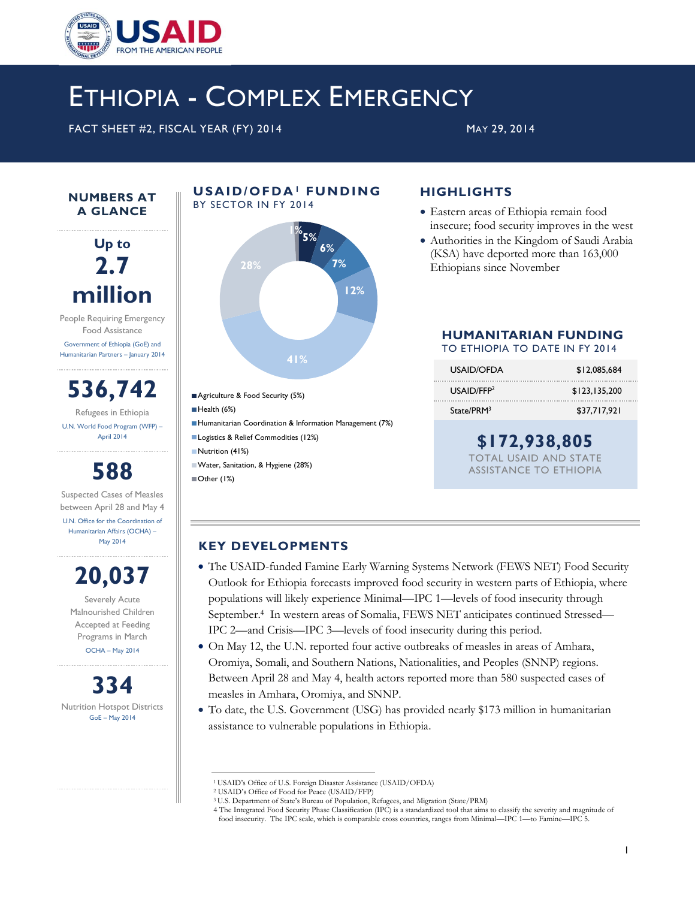

## ETHIOPIA - COMPLEX EMERGENCY

FACT SHEET #2, FISCAL YEAR (FY) 2014 MAY 29, 2014

**NUMBERS AT A GLANCE**

**Up to 2.7 million**

People Requiring Emergency Food Assistance Government of Ethiopia (GoE) and Humanitarian Partners – January 2014

**536,742** Refugees in Ethiopia U.N. World Food Program (WFP) – April 2014

## **588**

Suspected Cases of Measles between April 28 and May 4 U.N. Office for the Coordination of Humanitarian Affairs (OCHA) – May 2014

# **20,037**

Severely Acute Malnourished Children Accepted at Feeding Programs in March OCHA – May 2014

**334** Nutrition Hotspot Districts GoE – May 2014



**U S A I D / O F D A<sup>1</sup> F U N D I N G** 

### **HIGHLIGHTS**

- Eastern areas of Ethiopia remain food insecure; food security improves in the west
- Authorities in the Kingdom of Saudi Arabia (KSA) have deported more than 163,000 Ethiopians since November

## **HUMANITARIAN FUNDING**

TO ETHIOPIA TO DATE IN FY 2014

| USAID/OFDA             | \$12,085,684  |
|------------------------|---------------|
| USAID/FFP <sup>2</sup> | \$123.135.200 |
| State/PRM <sup>3</sup> | \$37.717.921  |

### **\$172,938,805**

TOTAL USAID AND STATE ASSISTANCE TO ETHIOPIA

#### **KEY DEVELOPMENTS**

Other (1%)

- The USAID-funded Famine Early Warning Systems Network (FEWS NET) Food Security Outlook for Ethiopia forecasts improved food security in western parts of Ethiopia, where populations will likely experience Minimal—IPC 1—levels of food insecurity through September. <sup>4</sup> In western areas of Somalia, FEWS NET anticipates continued Stressed— IPC 2—and Crisis—IPC 3—levels of food insecurity during this period.
- On May 12, the U.N. reported four active outbreaks of measles in areas of Amhara, Oromiya, Somali, and Southern Nations, Nationalities, and Peoples (SNNP) regions. Between April 28 and May 4, health actors reported more than 580 suspected cases of measles in Amhara, Oromiya, and SNNP.
- To date, the U.S. Government (USG) has provided nearly \$173 million in humanitarian assistance to vulnerable populations in Ethiopia.

<sup>1</sup>USAID's Office of U.S. Foreign Disaster Assistance (USAID/OFDA)

<sup>2</sup> USAID's Office of Food for Peace (USAID/FFP)

<sup>3</sup> U.S. Department of State's Bureau of Population, Refugees, and Migration (State/PRM)

<sup>4</sup> The Integrated Food Security Phase Classification (IPC) is a standardized tool that aims to classify the severity and magnitude of food insecurity. The IPC scale, which is comparable cross countries, ranges from Minimal—IPC 1—to Famine—IPC 5.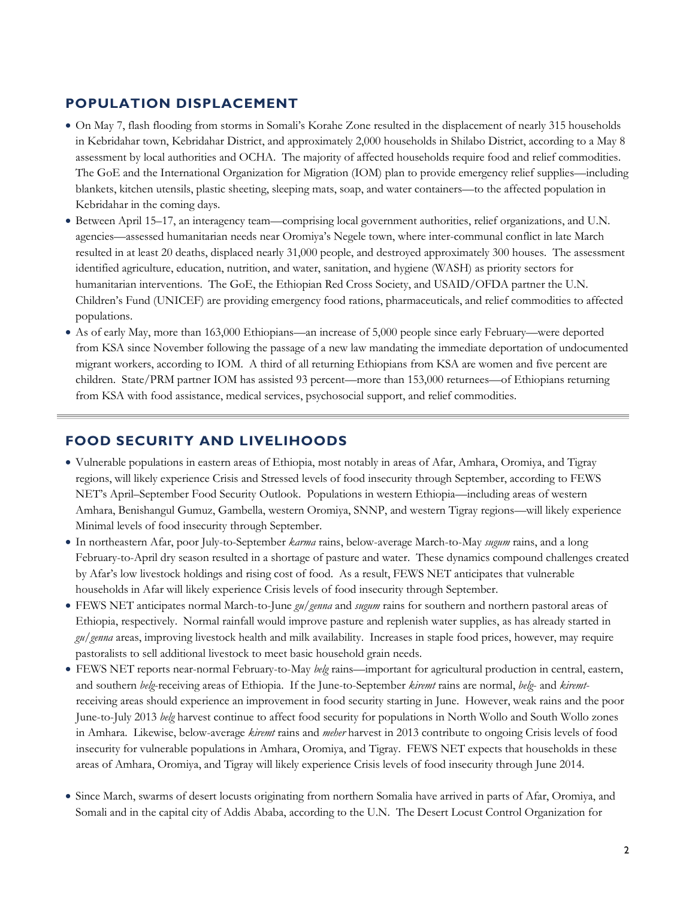#### **POPULATION DISPLACEMENT**

- On May 7, flash flooding from storms in Somali's Korahe Zone resulted in the displacement of nearly 315 households in Kebridahar town, Kebridahar District, and approximately 2,000 households in Shilabo District, according to a May 8 assessment by local authorities and OCHA. The majority of affected households require food and relief commodities. The GoE and the International Organization for Migration (IOM) plan to provide emergency relief supplies—including blankets, kitchen utensils, plastic sheeting, sleeping mats, soap, and water containers—to the affected population in Kebridahar in the coming days.
- Between April 15–17, an interagency team—comprising local government authorities, relief organizations, and U.N. agencies—assessed humanitarian needs near Oromiya's Negele town, where inter-communal conflict in late March resulted in at least 20 deaths, displaced nearly 31,000 people, and destroyed approximately 300 houses. The assessment identified agriculture, education, nutrition, and water, sanitation, and hygiene (WASH) as priority sectors for humanitarian interventions. The GoE, the Ethiopian Red Cross Society, and USAID/OFDA partner the U.N. Children's Fund (UNICEF) are providing emergency food rations, pharmaceuticals, and relief commodities to affected populations.
- As of early May, more than 163,000 Ethiopians—an increase of 5,000 people since early February—were deported from KSA since November following the passage of a new law mandating the immediate deportation of undocumented migrant workers, according to IOM. A third of all returning Ethiopians from KSA are women and five percent are children. State/PRM partner IOM has assisted 93 percent—more than 153,000 returnees—of Ethiopians returning from KSA with food assistance, medical services, psychosocial support, and relief commodities.

#### **FOOD SECURITY AND LIVELIHOODS**

- Vulnerable populations in eastern areas of Ethiopia, most notably in areas of Afar, Amhara, Oromiya, and Tigray regions, will likely experience Crisis and Stressed levels of food insecurity through September, according to FEWS NET's April–September Food Security Outlook. Populations in western Ethiopia—including areas of western Amhara, Benishangul Gumuz, Gambella, western Oromiya, SNNP, and western Tigray regions—will likely experience Minimal levels of food insecurity through September.
- In northeastern Afar, poor July-to-September *karma* rains, below-average March-to-May *sugum* rains, and a long February-to-April dry season resulted in a shortage of pasture and water. These dynamics compound challenges created by Afar's low livestock holdings and rising cost of food. As a result, FEWS NET anticipates that vulnerable households in Afar will likely experience Crisis levels of food insecurity through September.
- FEWS NET anticipates normal March-to-June *gu/genna* and *sugum* rains for southern and northern pastoral areas of Ethiopia, respectively. Normal rainfall would improve pasture and replenish water supplies, as has already started in *gu/genna* areas, improving livestock health and milk availability. Increases in staple food prices, however, may require pastoralists to sell additional livestock to meet basic household grain needs.
- FEWS NET reports near-normal February-to-May *belg* rains—important for agricultural production in central, eastern, and southern *belg*-receiving areas of Ethiopia. If the June-to-September *kiremt* rains are normal, *belg*- and *kiremt*receiving areas should experience an improvement in food security starting in June. However, weak rains and the poor June-to-July 2013 *belg* harvest continue to affect food security for populations in North Wollo and South Wollo zones in Amhara. Likewise, below-average *kiremt* rains and *meher* harvest in 2013 contribute to ongoing Crisis levels of food insecurity for vulnerable populations in Amhara, Oromiya, and Tigray. FEWS NET expects that households in these areas of Amhara, Oromiya, and Tigray will likely experience Crisis levels of food insecurity through June 2014.
- Since March, swarms of desert locusts originating from northern Somalia have arrived in parts of Afar, Oromiya, and Somali and in the capital city of Addis Ababa, according to the U.N. The Desert Locust Control Organization for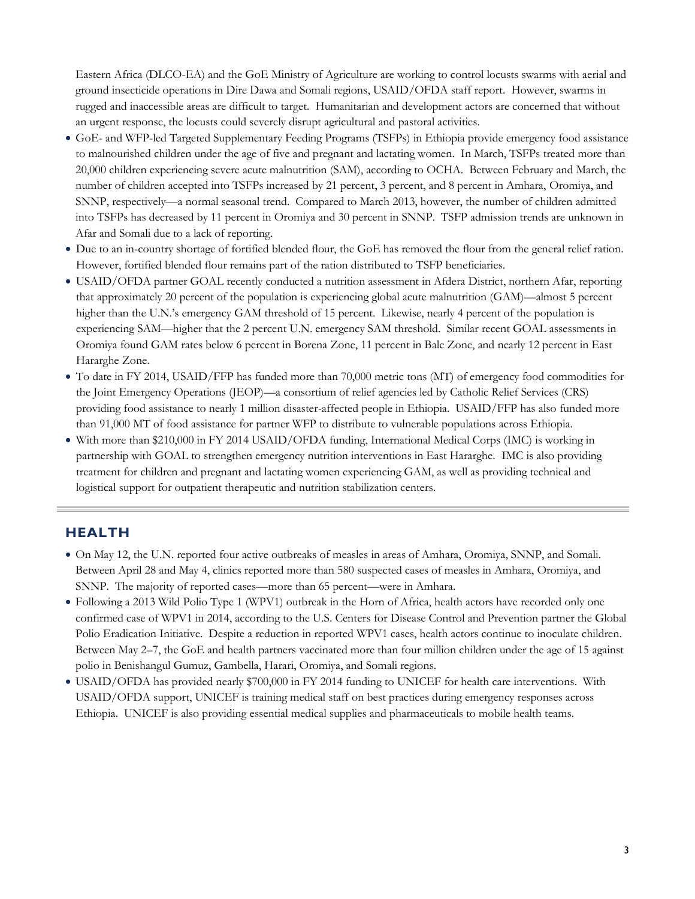Eastern Africa (DLCO-EA) and the GoE Ministry of Agriculture are working to control locusts swarms with aerial and ground insecticide operations in Dire Dawa and Somali regions, USAID/OFDA staff report. However, swarms in rugged and inaccessible areas are difficult to target. Humanitarian and development actors are concerned that without an urgent response, the locusts could severely disrupt agricultural and pastoral activities.

- GoE- and WFP-led Targeted Supplementary Feeding Programs (TSFPs) in Ethiopia provide emergency food assistance to malnourished children under the age of five and pregnant and lactating women. In March, TSFPs treated more than 20,000 children experiencing severe acute malnutrition (SAM), according to OCHA. Between February and March, the number of children accepted into TSFPs increased by 21 percent, 3 percent, and 8 percent in Amhara, Oromiya, and SNNP, respectively—a normal seasonal trend. Compared to March 2013, however, the number of children admitted into TSFPs has decreased by 11 percent in Oromiya and 30 percent in SNNP. TSFP admission trends are unknown in Afar and Somali due to a lack of reporting.
- Due to an in-country shortage of fortified blended flour, the GoE has removed the flour from the general relief ration. However, fortified blended flour remains part of the ration distributed to TSFP beneficiaries.
- USAID/OFDA partner GOAL recently conducted a nutrition assessment in Afdera District, northern Afar, reporting that approximately 20 percent of the population is experiencing global acute malnutrition (GAM)—almost 5 percent higher than the U.N.'s emergency GAM threshold of 15 percent. Likewise, nearly 4 percent of the population is experiencing SAM—higher that the 2 percent U.N. emergency SAM threshold. Similar recent GOAL assessments in Oromiya found GAM rates below 6 percent in Borena Zone, 11 percent in Bale Zone, and nearly 12 percent in East Hararghe Zone.
- To date in FY 2014, USAID/FFP has funded more than 70,000 metric tons (MT) of emergency food commodities for the Joint Emergency Operations (JEOP)—a consortium of relief agencies led by Catholic Relief Services (CRS) providing food assistance to nearly 1 million disaster-affected people in Ethiopia. USAID/FFP has also funded more than 91,000 MT of food assistance for partner WFP to distribute to vulnerable populations across Ethiopia.
- With more than \$210,000 in FY 2014 USAID/OFDA funding, International Medical Corps (IMC) is working in partnership with GOAL to strengthen emergency nutrition interventions in East Hararghe. IMC is also providing treatment for children and pregnant and lactating women experiencing GAM, as well as providing technical and logistical support for outpatient therapeutic and nutrition stabilization centers.

#### **HEALTH**

- On May 12, the U.N. reported four active outbreaks of measles in areas of Amhara, Oromiya, SNNP, and Somali. Between April 28 and May 4, clinics reported more than 580 suspected cases of measles in Amhara, Oromiya, and SNNP. The majority of reported cases—more than 65 percent—were in Amhara.
- Following a 2013 Wild Polio Type 1 (WPV1) outbreak in the Horn of Africa, health actors have recorded only one confirmed case of WPV1 in 2014, according to the U.S. Centers for Disease Control and Prevention partner the Global Polio Eradication Initiative. Despite a reduction in reported WPV1 cases, health actors continue to inoculate children. Between May 2–7, the GoE and health partners vaccinated more than four million children under the age of 15 against polio in Benishangul Gumuz, Gambella, Harari, Oromiya, and Somali regions.
- USAID/OFDA has provided nearly \$700,000 in FY 2014 funding to UNICEF for health care interventions. With USAID/OFDA support, UNICEF is training medical staff on best practices during emergency responses across Ethiopia. UNICEF is also providing essential medical supplies and pharmaceuticals to mobile health teams.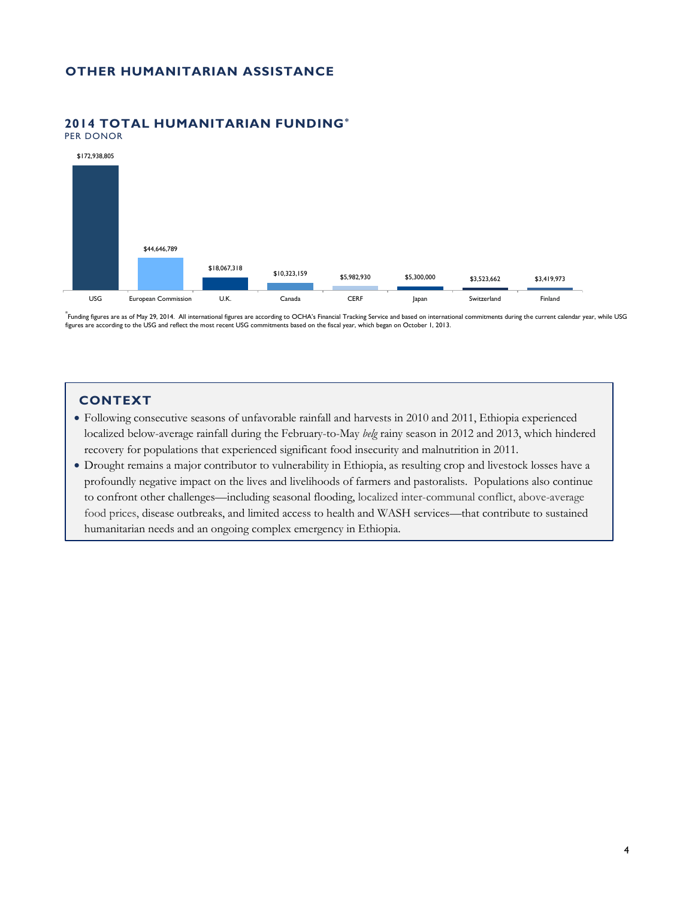#### **OTHER HUMANITARIAN ASSISTANCE**

#### **2014 TOTAL HUMANITARIAN FUNDING\***

PER DONOR



\* Funding figures are as of May 29, 2014. All international figures are according to OCHA's Financial Tracking Service and based on international commitments during the current calendar year, while USG figures are according to the USG and reflect the most recent USG commitments based on the fiscal year, which began on October 1, 2013.

#### **CONTEXT**

- Following consecutive seasons of unfavorable rainfall and harvests in 2010 and 2011, Ethiopia experienced localized below-average rainfall during the February-to-May *belg* rainy season in 2012 and 2013, which hindered recovery for populations that experienced significant food insecurity and malnutrition in 2011.
- Drought remains a major contributor to vulnerability in Ethiopia, as resulting crop and livestock losses have a profoundly negative impact on the lives and livelihoods of farmers and pastoralists. Populations also continue to confront other challenges—including seasonal flooding, localized inter-communal conflict, above-average food prices, disease outbreaks, and limited access to health and WASH services—that contribute to sustained humanitarian needs and an ongoing complex emergency in Ethiopia.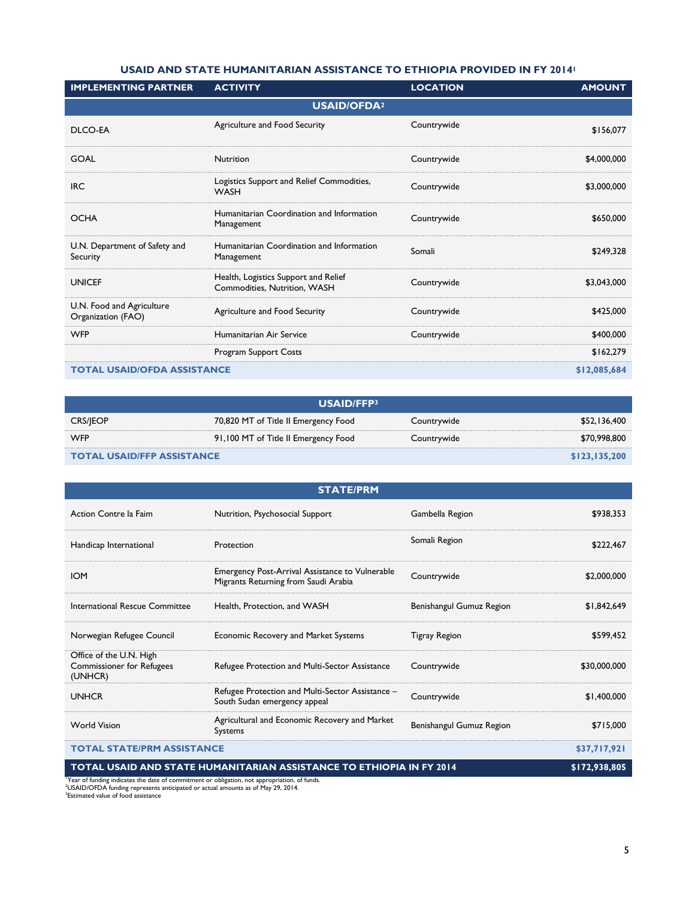#### **USAID AND STATE HUMANITARIAN ASSISTANCE TO ETHIOPIA PROVIDED IN FY 2014<sup>1</sup>**

| <b>IMPLEMENTING PARTNER</b>                      | <b>ACTIVITY</b>                                                      | <b>LOCATION</b> | <b>AMOUNT</b> |  |  |
|--------------------------------------------------|----------------------------------------------------------------------|-----------------|---------------|--|--|
| <b>USAID/OFDA<sup>2</sup></b>                    |                                                                      |                 |               |  |  |
| DLCO-EA                                          | Agriculture and Food Security                                        | Countrywide     | \$156,077     |  |  |
| <b>GOAL</b>                                      | Nutrition                                                            | Countrywide     | \$4,000,000   |  |  |
| <b>IRC</b>                                       | Logistics Support and Relief Commodities,<br><b>WASH</b>             | Countrywide     | \$3,000,000   |  |  |
| <b>OCHA</b>                                      | Humanitarian Coordination and Information<br>Management              | Countrywide     | \$650,000     |  |  |
| U.N. Department of Safety and<br><b>Security</b> | Humanitarian Coordination and Information<br>Management              | Somali          | \$249,328     |  |  |
| <b>UNICEF</b>                                    | Health, Logistics Support and Relief<br>Commodities, Nutrition, WASH | Countrywide     | \$3,043,000   |  |  |
| U.N. Food and Agriculture<br>Organization (FAO)  | Agriculture and Food Security                                        | Countrywide     | \$425,000     |  |  |
| <b>WFP</b>                                       | Humanitarian Air Service                                             | Countrywide     | \$400,000     |  |  |
|                                                  | Program Support Costs                                                |                 | \$162,279     |  |  |
| <b>TOTAL USAID/OFDA ASSISTANCE</b>               |                                                                      |                 | \$12,085,684  |  |  |

| USAID/FFP3                        |                                      |               |              |  |  |
|-----------------------------------|--------------------------------------|---------------|--------------|--|--|
| <b>CRS/JEOP</b>                   | 70,820 MT of Title II Emergency Food | Countrywide   | \$52,136,400 |  |  |
| <b>WFP</b>                        | 91,100 MT of Title II Emergency Food | Countrywide   | \$70,998,800 |  |  |
| <b>TOTAL USAID/FFP ASSISTANCE</b> |                                      | \$123,135,200 |              |  |  |

| <b>STATE/PRM</b>                                                       |                                                                                                |                          |               |  |
|------------------------------------------------------------------------|------------------------------------------------------------------------------------------------|--------------------------|---------------|--|
| Action Contre la Faim                                                  | Nutrition, Psychosocial Support                                                                | Gambella Region          | \$938,353     |  |
| Handicap International                                                 | Protection                                                                                     | Somali Region            | \$222,467     |  |
| <b>IOM</b>                                                             | <b>Emergency Post-Arrival Assistance to Vulnerable</b><br>Migrants Returning from Saudi Arabia | Countrywide              | \$2,000,000   |  |
| International Rescue Committee                                         | Health, Protection, and WASH                                                                   | Benishangul Gumuz Region | \$1,842,649   |  |
| Norwegian Refugee Council                                              | Economic Recovery and Market Systems                                                           | Tigray Region            | \$599,452     |  |
| Office of the U.N. High<br><b>Commissioner for Refugees</b><br>(UNHCR) | Refugee Protection and Multi-Sector Assistance                                                 | Countrywide              | \$30,000,000  |  |
| <b>UNHCR</b>                                                           | Refugee Protection and Multi-Sector Assistance -<br>South Sudan emergency appeal               | Countrywide              | \$1,400,000   |  |
| <b>World Vision</b>                                                    | Agricultural and Economic Recovery and Market<br><b>Systems</b>                                | Benishangul Gumuz Region | \$715,000     |  |
| <b>TOTAL STATE/PRM ASSISTANCE</b>                                      |                                                                                                |                          | \$37,717,921  |  |
| TOTAL USAID AND STATE HUMANITARIAN ASSISTANCE TO ETHIOPIA IN FY 2014   |                                                                                                |                          | \$172,938,805 |  |

<sup>1</sup>Year of funding indicates the date of commitment or obligation, not appropriation, of funds.<br><sup>3</sup>USAID/OFDA funding represents anticipated or actual amounts as of May 29, 2014.<br><sup>3</sup>Estimated value of food assistance